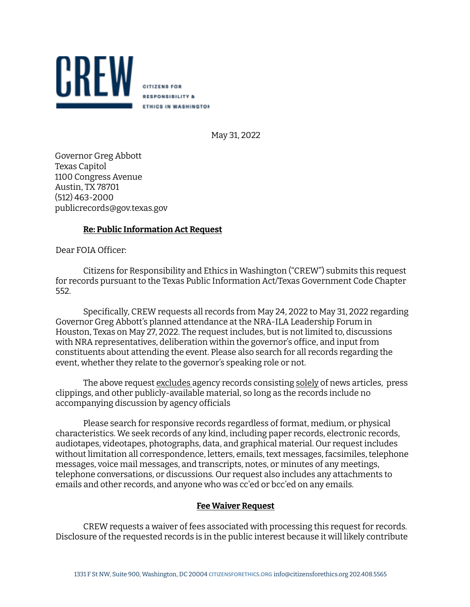

**CITIZENS FOR RESPONSIBILITY & ETHICS IN WASHINGTON** 

May 31, 2022

Governor Greg Abbott Texas Capitol 1100 Congress Avenue Austin, TX 78701 (512) 463-2000 publicrecords@gov.texas.gov

## **Re: Public Information Act Request**

Dear FOIA Oficer:

Citizens for Responsibility and Ethics in Washington ("CREW") submits this request for records pursuant to the Texas Public Information Act/Texas Government Code Chapter 552.

Specifically, CREW requests all records from May 24, 2022 to May 31, 2022 regarding Governor Greg Abbott's planned attendance at the NRA-ILA Leadership Forum in Houston, Texas on May 27, 2022. The request includes, but is not limited to, discussions with NRA representatives, deliberation within the governor's ofice, and input from constituents about attending the event. Please also search for all records regarding the event, whether they relate to the governor's speaking role or not.

The above request excludes agency records consisting solely of news articles, press clippings, and other publicly-available material, so long as the records include no accompanying discussion by agency oficials

Please search for responsive records regardless of format, medium, or physical characteristics. We seek records of any kind, including paper records, electronic records, audiotapes, videotapes, photographs, data, and graphical material. Our request includes without limitation all correspondence, letters, emails, text messages, facsimiles, telephone messages, voice mail messages, and transcripts, notes, or minutes of any meetings, telephone conversations, or discussions. Our request also includes any attachments to emails and other records, and anyone who was cc'ed or bcc'ed on any emails.

## **Fee Waiver Request**

CREW requests a waiver of fees associated with processing this request for records. Disclosure of the requested records is in the public interest because it will likely contribute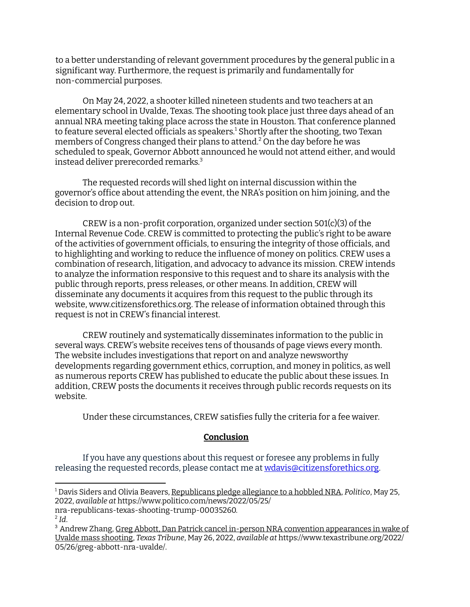to a better understanding of relevant government procedures by the general public in a significant way. Furthermore, the request is primarily and fundamentally for non-commercial purposes.

On May 24, 2022, a shooter killed nineteen students and two teachers at an elementary school in Uvalde, Texas. The shooting took place just three days ahead of an annual NRA meeting taking place across the state in Houston. That conference planned to feature several elected officials as speakers.<sup>1</sup> Shortly after the shooting, two Texan members of Congress changed their plans to attend. <sup>2</sup> On the day before he was scheduled to speak, Governor Abbott announced he would not attend either, and would instead deliver prerecorded remarks. 3

The requested records will shed light on internal discussion within the governor's ofice about attending the event, the NRA's position on him joining, and the decision to drop out.

CREW is a non-profit corporation, organized under section  $501(c)(3)$  of the Internal Revenue Code. CREW is committed to protecting the public's right to be aware of the activities of government oficials, to ensuring the integrity of those oficials, and to highlighting and working to reduce the influence of money on politics. CREW uses a combination of research, litigation, and advocacy to advance its mission. CREW intends to analyze the information responsive to this request and to share its analysis with the public through reports, press releases, or other means. In addition, CREW will disseminate any documents it acquires from this request to the public through its website, www.citizensforethics.org. The release of information obtained through this request is not in CREW's financial interest.

CREW routinely and systematically disseminates information to the public in several ways. CREW's website receives tens of thousands of page views every month. The website includes investigations that report on and analyze newsworthy developments regarding government ethics, corruption, and money in politics, as well as numerous reports CREW has published to educate the public about these issues. In addition, CREW posts the documents it receives through public records requests on its website.

Under these circumstances, CREW satisies fully the criteria for a fee waiver.

## **Conclusion**

If you have any questions about this request or foresee any problems in fully releasing the requested records, please contact me at wdavis@citizensforethics.org.

<sup>1</sup> Davis Siders and Olivia Beavers, Republicans pledge allegiance to a hobbled NRA, *Politico*, May 25, 2022, *available at* https://www.politico.com/news/2022/05/25/

nra-republicans-texas-shooting-trump-00035260.

<sup>2</sup> *Id*.

<sup>3</sup> Andrew Zhang, Greg Abbott, Dan Patrick cancel in-person NRA convention appearances in wake of Uvalde mass shooting, *Texas Tribune*, May 26, 2022, *available at* https://www.texastribune.org/2022/ 05/26/greg-abbott-nra-uvalde/.